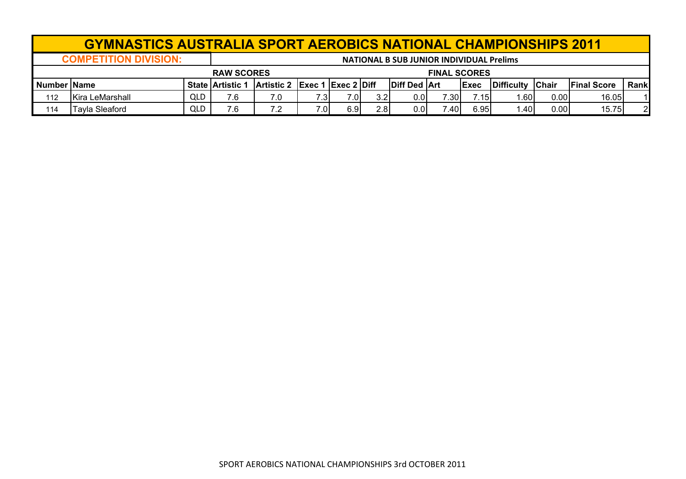|                    | <b>GYMNASTICS AUSTRALIA SPORT AEROBICS NATIONAL CHAMPIONSHIPS 2011</b> |            |                         |                               |      |     |     |                                                 |       |             |            |               |                    |                |
|--------------------|------------------------------------------------------------------------|------------|-------------------------|-------------------------------|------|-----|-----|-------------------------------------------------|-------|-------------|------------|---------------|--------------------|----------------|
|                    | <b>COMPETITION DIVISION:</b>                                           |            |                         |                               |      |     |     | <b>NATIONAL B SUB JUNIOR INDIVIDUAL Prelims</b> |       |             |            |               |                    |                |
|                    | <b>RAW SCORES</b><br><b>FINAL SCORES</b>                               |            |                         |                               |      |     |     |                                                 |       |             |            |               |                    |                |
| <b>Number Name</b> |                                                                        |            | <b>State Artistic 1</b> | Artistic 2 Exec 1 Exec 2 Diff |      |     |     | Diff Ded Art                                    |       | <b>Exec</b> | Difficulty | <b>IChair</b> | <b>Final Score</b> | Rank           |
| 112                | <b>IKira LeMarshall</b>                                                | QLD        | 7.6                     | 7.0                           | 7.3I | 7.0 | 3.2 | 0.0                                             | 7.30I | 7.15        | .601       | 0.00          | 16.05              | 11             |
| 114                | <b>Tayla Sleaford</b>                                                  | <b>QLD</b> | 7.6                     | 7.2                           | 7.0  | 6.9 | 2.8 | 0.0                                             | ا40.' | 6.95        | .40        | 0.00          | 15.75              | $\overline{2}$ |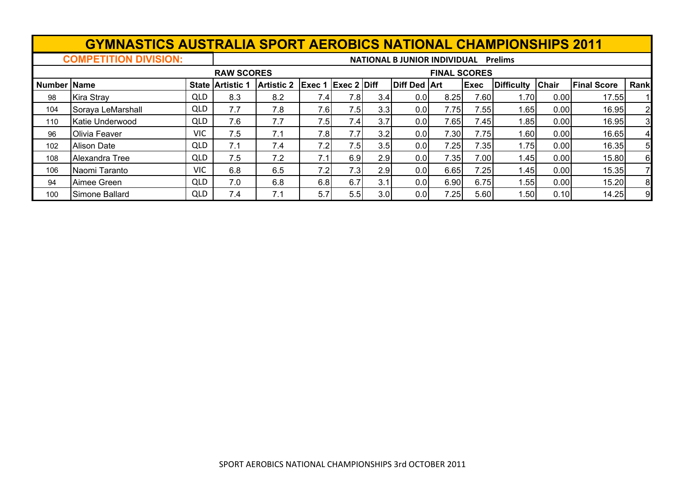# **GYMNASTICS AUSTRALIA SPORT AEROBICS NATIONAL CHAMPIONSHIPS 2011**<br>MATIONAL B JUNION AL PREIMS

**COMPETITION DIVISION: NATIONAL B JUNIOR INDIVIDUAL Prelims**

|                    |                    |            | <b>RAW SCORES</b>       |                   |                           |      |     |                     | <b>FINAL SCORES</b> |             |                   |       |                    |                |
|--------------------|--------------------|------------|-------------------------|-------------------|---------------------------|------|-----|---------------------|---------------------|-------------|-------------------|-------|--------------------|----------------|
| <b>Number Name</b> |                    |            | <b>State Artistic 1</b> | <b>Artistic 2</b> | <b>Exec 1 Exec 2 Diff</b> |      |     | <b>Diff Ded Art</b> |                     | <b>Exec</b> | <b>Difficulty</b> | Chair | <b>Final Score</b> | Rank           |
| 98                 | <b>Kira Stray</b>  | <b>QLD</b> | 8.3                     | 8.2               | 7.4I                      | 7.8I | 3.4 | 0.0                 | 8.25                | 7.60        | 1.701             | 0.00  | 17.55              |                |
| 104                | Soraya LeMarshall  | <b>QLD</b> | 7.7                     | 7.8               | 7.6I                      | 7.5  | 3.3 | 0.0                 | 7.75                | 7.55        | 1.651             | 0.00  | 16.95              | $\mathbf{2}$   |
| 110                | Katie Underwood    | <b>QLD</b> | 7.6                     | 7.7               | 7.5                       | 7.4  | 3.7 | 0.01                | 7.65                | 7.45        | 1.85              | 0.00  | 16.95              | 3              |
| 96                 | Olivia Feaver      | <b>VIC</b> | 7.5                     | 7.1               | 7.8                       |      | 3.2 | 0.0                 | 7.30                | 7.75        | 1.60              | 0.00  | 16.65              | 4              |
| 102                | <b>Alison Date</b> | <b>QLD</b> | 7.1                     | 7.4               | 7.2                       | 7.5  | 3.5 | 0.0                 | 7.25                | 7.35        | 1.75              | 0.00  | 16.35              | 5 <sub>l</sub> |
| 108                | Alexandra Tree     | <b>QLD</b> | 7.5                     | 7.2               |                           | 6.9  | 2.9 | 0.0                 | 7.35                | 7.00        | 1.45              | 0.00  | 15.80              | 6              |
| 106                | Naomi Taranto      | VIC        | 6.8                     | 6.5               | 7.2                       | 7.3  | 2.9 | 0.0                 | 6.65                | 7.25        | 1.45              | 0.00  | 15.35              |                |
| 94                 | Aimee Green        | <b>QLD</b> | 7.0                     | 6.8               | 6.8                       | 6.7  | 3.1 | 0.0                 | 6.90                | 6.75        | 1.551             | 0.00  | 15.20              | 8 <sub>l</sub> |
| 100                | Simone Ballard     | <b>QLD</b> | 7.4                     | 7.1               | 5.7                       | 5.5  | 3.0 | 0.0                 | 7.25                | 5.60        | 1.50              | 0.10  | 14.25              | $9 \mid$       |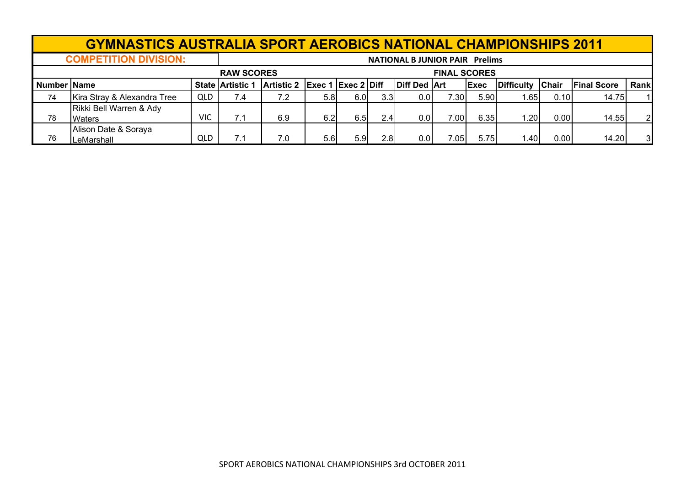|               | <b>GYMNASTICS AUSTRALIA SPORT AEROBICS NATIONAL CHAMPIONSHIPS 2011</b> |            |                         |                               |                  |      |                  |                                       |                     |              |                  |      |                    |                |
|---------------|------------------------------------------------------------------------|------------|-------------------------|-------------------------------|------------------|------|------------------|---------------------------------------|---------------------|--------------|------------------|------|--------------------|----------------|
|               | <b>COMPETITION DIVISION:</b>                                           |            |                         |                               |                  |      |                  | <b>NATIONAL B JUNIOR PAIR Prelims</b> |                     |              |                  |      |                    |                |
|               |                                                                        |            | <b>RAW SCORES</b>       |                               |                  |      |                  |                                       | <b>FINAL SCORES</b> |              |                  |      |                    |                |
| Number   Name |                                                                        |            | <b>State Artistic 1</b> | Artistic 2 Exec 1 Exec 2 Diff |                  |      |                  | <b>Diff Ded Art</b>                   |                     | <b>IExec</b> | Difficulty Chair |      | <b>Final Score</b> | Rank           |
| 74            | Kira Stray & Alexandra Tree                                            | QLD        | 7.4                     | 7.2                           | 5.8 <sub>1</sub> | 6.01 | 3.3 <sub>1</sub> | 0.01                                  | 7.301               | 5.90         | .65              | 0.10 | 14.75              |                |
| 78            | Rikki Bell Warren & Ady<br><b>Waters</b>                               | <b>VIC</b> | 7.1                     | 6.9                           | 6.21             | 6.5  | 2.4              | 0.0                                   | 7.00I               | 6.35         | 1.20             | 0.00 | 14.55              | $\overline{2}$ |
| 76            | Alison Date & Soraya<br>LeMarshall                                     | QLD        | 7.1                     | 7.0                           | 5.6              | 5.91 | 2.81             | 0.0                                   | $^{\prime}.05$ l    | 5.75         | 1.40             | 0.00 | 14.20              | 31             |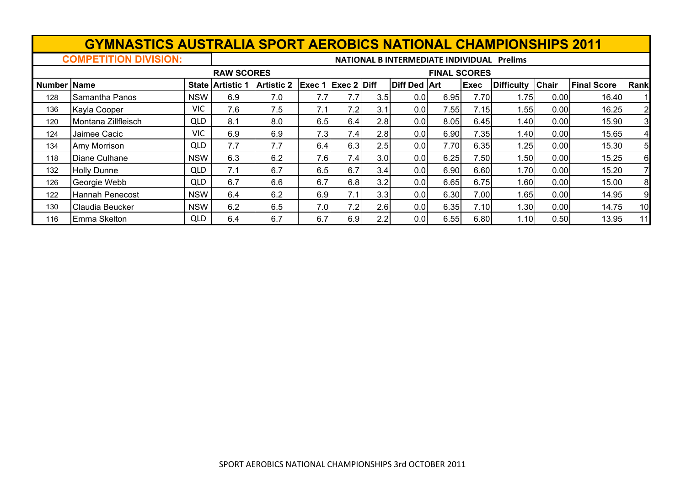|                    | <b>GYMNASTICS AUSTRALIA SPORT AEROBICS NATIONAL CHAMPIONSHIPS 2011</b> |            |                         |                   |        |                    |     |                                            |                     |             |                   |              |                    |                |
|--------------------|------------------------------------------------------------------------|------------|-------------------------|-------------------|--------|--------------------|-----|--------------------------------------------|---------------------|-------------|-------------------|--------------|--------------------|----------------|
|                    | <b>COMPETITION DIVISION:</b>                                           |            |                         |                   |        |                    |     | NATIONAL B INTERMEDIATE INDIVIDUAL Prelims |                     |             |                   |              |                    |                |
|                    |                                                                        |            | <b>RAW SCORES</b>       |                   |        |                    |     |                                            | <b>FINAL SCORES</b> |             |                   |              |                    |                |
| <b>Number Name</b> |                                                                        |            | <b>State Artistic 1</b> | <b>Artistic 2</b> | Exec 1 | <b>Exec 2 Diff</b> |     | <b>Diff Ded Art</b>                        |                     | <b>Exec</b> | <b>Difficulty</b> | <b>Chair</b> | <b>Final Score</b> | Rank           |
| 128                | Samantha Panos                                                         | <b>NSW</b> | 6.9                     | 7.0               | 7.7    | 7.7                | 3.5 | 0.01                                       | 6.95                | 7.70        | 1.75              | 0.00         | 16.40              |                |
| 136                | Kayla Cooper                                                           | VIC        | 7.6                     | 7.5               | 7.1    | 7.2                | 3.1 | 0.01                                       | 7.55                | 7.15        | 1.55              | 0.00         | 16.25              | $\overline{2}$ |
| 120                | Montana Zillfleisch                                                    | <b>QLD</b> | 8.1                     | 8.0               | 6.5    | 6.4                | 2.8 | 0.01                                       | 8.05                | 6.45        | 1.40              | 0.00         | 15.90              | 3              |
| 124                | Jaimee Cacic                                                           | VIC        | 6.9                     | 6.9               | 7.3    | 7.4                | 2.8 | 0.01                                       | 6.90                | 7.35        | 1.40              | 0.00         | 15.65              | 4              |
| 134                | Amy Morrison                                                           | <b>QLD</b> | 7.7                     | 7.7               | 6.4    | 6.3                | 2.5 | 0.0                                        | 7.70                | 6.35        | 1.25              | 0.00         | 15.30              | 5              |
| 118                | Diane Culhane                                                          | <b>NSW</b> | 6.3                     | 6.2               | 7.6    | 7.4                | 3.0 | 0.01                                       | 6.25                | 7.50        | 1.50              | 0.00         | 15.25              | 6              |
| 132                | <b>Holly Dunne</b>                                                     | <b>QLD</b> | 7.1                     | 6.7               | 6.5    | 6.7                | 3.4 | 0.01                                       | 6.90                | 6.60        | 1.70              | 0.00         | 15.20              | $\overline{7}$ |
| 126                | Georgie Webb                                                           | <b>QLD</b> | 6.7                     | 6.6               | 6.7    | 6.8                | 3.2 | 0.0                                        | 6.65                | 6.75        | 1.60              | 0.00         | 15.00              | 8              |
| 122                | Hannah Penecost                                                        | <b>NSW</b> | 6.4                     | 6.2               | 6.9    | 7.1                | 3.3 | 0.0                                        | 6.30                | 7.00        | 1.65              | 0.00         | 14.95              | 9              |
| 130                | Claudia Beucker                                                        | <b>NSW</b> | 6.2                     | 6.5               | 7.0    | 7.2                | 2.6 | 0.0                                        | 6.35                | 7.10        | 1.30              | 0.00         | 14.75              | 10             |
| 116                | Emma Skelton                                                           | <b>QLD</b> | 6.4                     | 6.7               | 6.7    | 6.9                | 2.2 | 0.0                                        | 6.55                | 6.80        | 1.10              | 0.50         | 13.95              | 11             |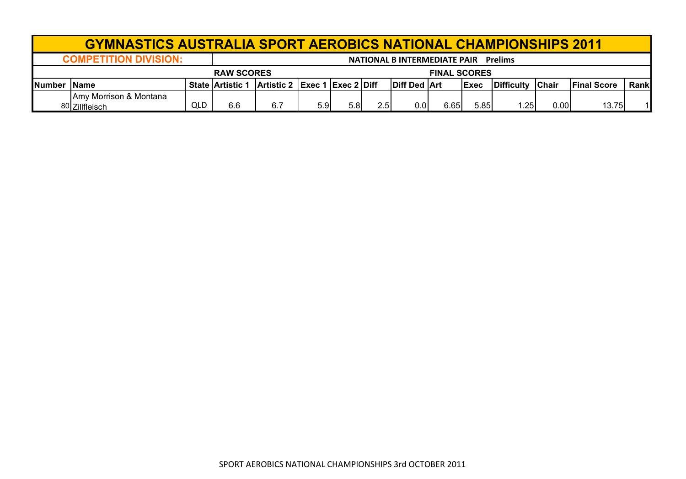|                | <b>GYMNASTICS AUSTRALIA SPORT AEROBICS NATIONAL CHAMPIONSHIPS 2011</b>         |     |                         |                               |     |                  |     |              |      |              |            |              |                     |             |
|----------------|--------------------------------------------------------------------------------|-----|-------------------------|-------------------------------|-----|------------------|-----|--------------|------|--------------|------------|--------------|---------------------|-------------|
|                | <b>COMPETITION DIVISION:</b><br><b>NATIONAL B INTERMEDIATE PAIR</b><br>Prelims |     |                         |                               |     |                  |     |              |      |              |            |              |                     |             |
|                | <b>RAW SCORES</b><br><b>FINAL SCORES</b>                                       |     |                         |                               |     |                  |     |              |      |              |            |              |                     |             |
| <b>INumber</b> | <b>IName</b>                                                                   |     | <b>State Artistic 1</b> | Artistic 2 Exec 1 Exec 2 Diff |     |                  |     | Diff Ded Art |      | <b>IExec</b> | Difficulty | <b>Chair</b> | <b>IFinal Score</b> | <b>Rank</b> |
|                | Amy Morrison & Montana<br>80 Zillfleisch                                       | QLD | 6.6                     | 6.7                           | 5.9 | 5.8 <sub>1</sub> | 2.5 | 0.OI         | 6.65 | 5.85         | 1.25       | 0.00         | 13.75               |             |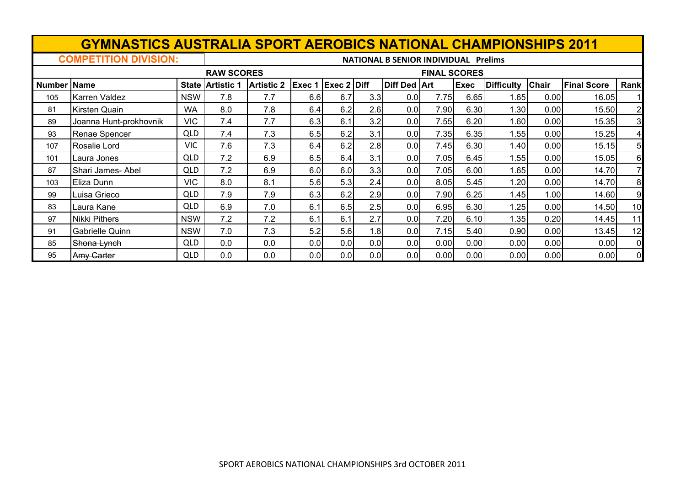|                    | <b>GYMNASTICS AUSTRALIA SPORT AEROBICS NATIONAL CHAMPIONSHIPS 2011</b> |            |                   |                   |        |                    |     |                                             |                     |             |                   |              |                    |                         |
|--------------------|------------------------------------------------------------------------|------------|-------------------|-------------------|--------|--------------------|-----|---------------------------------------------|---------------------|-------------|-------------------|--------------|--------------------|-------------------------|
|                    | <b>COMPETITION DIVISION:</b>                                           |            |                   |                   |        |                    |     | <b>NATIONAL B SENIOR INDIVIDUAL Prelims</b> |                     |             |                   |              |                    |                         |
|                    |                                                                        |            | <b>RAW SCORES</b> |                   |        |                    |     |                                             | <b>FINAL SCORES</b> |             |                   |              |                    |                         |
| <b>Number Name</b> |                                                                        |            | State Artistic    | <b>Artistic 2</b> | Exec 1 | <b>Exec 2 Diff</b> |     | <b>Diff Ded Art</b>                         |                     | <b>Exec</b> | <b>Difficulty</b> | <b>Chair</b> | <b>Final Score</b> | Rank                    |
| 105                | <b>Karren Valdez</b>                                                   | <b>NSW</b> | 7.8               | 7.7               | 6.6    | 6.7                | 3.3 | 0.0                                         | 7.75                | 6.65        | 1.65              | 0.00         | 16.05              |                         |
| 81                 | <b>Kirsten Quain</b>                                                   | <b>WA</b>  | 8.0               | 7.8               | 6.4    | 6.2                | 2.6 | 0.0                                         | 7.90                | 6.30        | 1.30              | 0.00         | 15.50              | $\overline{2}$          |
| 89                 | Joanna Hunt-prokhovnik                                                 | <b>VIC</b> | 7.4               | 7.7               | 6.3    | 6.1                | 3.2 | 0.0                                         | 7.55                | 6.20        | 1.60              | 0.00         | 15.35              | 3                       |
| 93                 | Renae Spencer                                                          | QLD        | 7.4               | 7.3               | 6.5    | 6.2                | 3.1 | 0.0                                         | 7.35                | 6.35        | 1.55              | 0.00         | 15.25              | $\overline{\mathbf{4}}$ |
| 107                | Rosalie Lord                                                           | <b>VIC</b> | 7.6               | 7.3               | 6.4    | 6.2                | 2.8 | 0.0                                         | 7.45                | 6.30        | 1.40              | 0.00         | 15.15              | 5                       |
| 101                | Laura Jones                                                            | <b>QLD</b> | 7.2               | 6.9               | 6.5    | 6.4                | 3.1 | 0.0                                         | 7.05                | 6.45        | 1.55              | 0.00         | 15.05              | 6                       |
| 87                 | Shari James- Abel                                                      | <b>QLD</b> | 7.2               | 6.9               | 6.0    | 6.0                | 3.3 | 0.0                                         | 7.05                | 6.00        | 1.65              | 0.00         | 14.70              | 7                       |
| 103                | Eliza Dunn                                                             | <b>VIC</b> | 8.0               | 8.1               | 5.6    | 5.3                | 2.4 | 0.0                                         | 8.05                | 5.45        | 1.20              | 0.00         | 14.70              | 8                       |
| 99                 | Luisa Grieco                                                           | <b>QLD</b> | 7.9               | 7.9               | 6.3    | 6.2                | 2.9 | 0.0                                         | 7.90                | 6.25        | 1.45              | 1.00         | 14.60              | 9                       |
| 83                 | Laura Kane                                                             | <b>QLD</b> | 6.9               | 7.0               | 6.1    | 6.5                | 2.5 | 0.0                                         | 6.95                | 6.30        | 1.25              | 0.00         | 14.50              | 10 <sup>1</sup>         |
| 97                 | Nikki Pithers                                                          | <b>NSW</b> | 7.2               | 7.2               | 6.1    | 6.1                | 2.7 | 0.0                                         | 7.20                | 6.10        | 1.35              | 0.20         | 14.45              | 11                      |
| 91                 | <b>Gabrielle Quinn</b>                                                 | <b>NSW</b> | 7.0               | 7.3               | 5.2    | 5.6                | 1.8 | 0.0                                         | 7.15                | 5.40        | 0.90              | 0.00         | 13.45              | 12                      |
| 85                 | Shona Lynch                                                            | <b>QLD</b> | 0.0               | 0.0               | 0.0    | 0.0                | 0.0 | 0.0                                         | 0.00                | 0.00        | 0.00              | 0.00         | 0.00               | $\overline{0}$          |
| 95                 | Amy Garter                                                             | <b>QLD</b> | 0.0               | 0.0               | 0.0    | 0.0                | 0.0 | 0.0                                         | 0.00                | 0.00        | 0.00              | 0.00         | 0.00               | 0                       |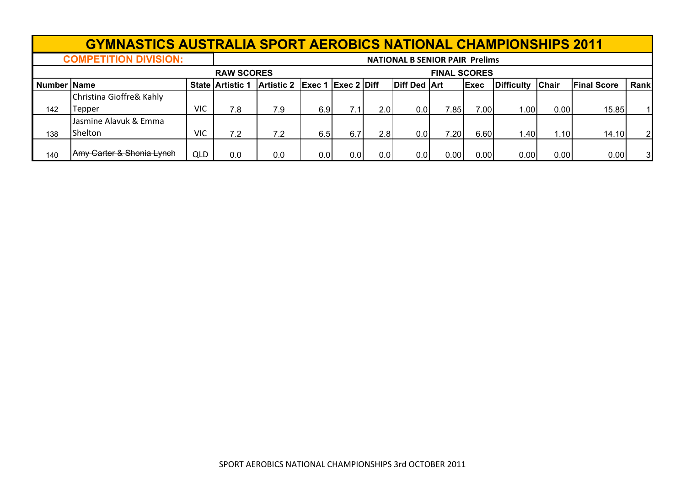## **GYMNASTICS AUSTRALIA SPORT AEROBICS NATIONAL CHAMPIONSHIPS 2011**

**NATIONAL B SENIOR PAIR Prelims** 

|                     | $\sim$                    |            |                   |                               |     |     |                  | <b>IVATIONAL DISLIVION FAIN FIEIIIIIS</b> |                     |             |                   |              |                    |              |
|---------------------|---------------------------|------------|-------------------|-------------------------------|-----|-----|------------------|-------------------------------------------|---------------------|-------------|-------------------|--------------|--------------------|--------------|
|                     |                           |            | <b>RAW SCORES</b> |                               |     |     |                  |                                           | <b>FINAL SCORES</b> |             |                   |              |                    |              |
| <b>Number IName</b> |                           |            | State Artistic    | Artistic 2 Exec 1 Exec 2 Diff |     |     |                  | <b>Diff Ded Art</b>                       |                     | <b>Exec</b> | <b>Difficulty</b> | <b>Chair</b> | <b>Final Score</b> | Rank         |
|                     | Christina Gioffre& Kahly  |            |                   |                               |     |     |                  |                                           |                     |             |                   |              |                    |              |
| 142                 | Tepper                    | <b>VIC</b> | 7.8               | 7.9                           | 6.9 |     | 2.01             | 0.01                                      | 7.85 <sub>1</sub>   | 7.00        | 1.00              | 0.00         | 15.85              |              |
|                     | IJasmine Alavuk & Emma    |            |                   |                               |     |     |                  |                                           |                     |             |                   |              |                    |              |
| 138                 | Shelton                   | <b>VIC</b> | 7.2               | 7.2                           | 6.5 | 6.7 | 2.8              | 0.0                                       | 7.20 <sub>1</sub>   | 6.60        | l.40              | .101         | 14.10              | $\mathbf{2}$ |
|                     |                           |            |                   |                               |     |     |                  |                                           |                     |             |                   |              |                    |              |
| 140                 | Amy Carter & Shonia Lynch | <b>QLD</b> | 0.0               | 0.0                           | 0.0 | 0.0 | 0.0 <sub>l</sub> | 0.01                                      | 0.00                | 0.00        | 0.00              | 0.00         | 0.00               | 31           |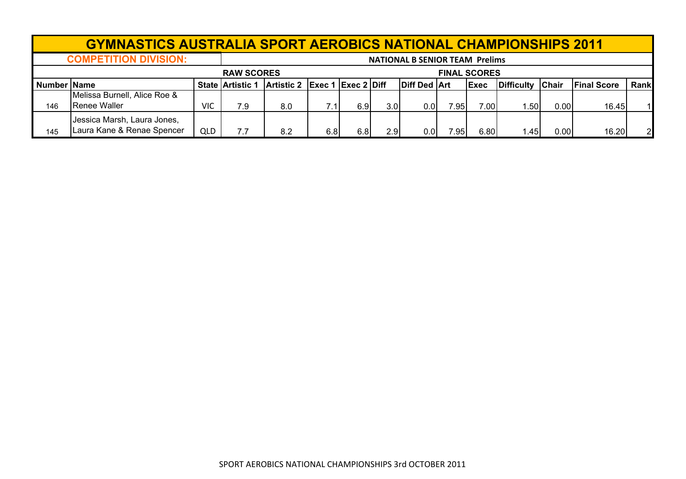|                    | <b>GYMNASTICS AUSTRALIA SPORT AEROBICS NATIONAL CHAMPIONSHIPS 2011</b> |            |                         |                               |     |     |     |                                       |       |                     |                  |      |                    |                |
|--------------------|------------------------------------------------------------------------|------------|-------------------------|-------------------------------|-----|-----|-----|---------------------------------------|-------|---------------------|------------------|------|--------------------|----------------|
|                    | <b>COMPETITION DIVISION:</b>                                           |            |                         |                               |     |     |     | <b>NATIONAL B SENIOR TEAM Prelims</b> |       |                     |                  |      |                    |                |
|                    |                                                                        |            | <b>RAW SCORES</b>       |                               |     |     |     |                                       |       | <b>FINAL SCORES</b> |                  |      |                    |                |
| <b>Number Name</b> |                                                                        |            | <b>State Artistic 1</b> | Artistic 2 Exec 1 Exec 2 Diff |     |     |     | <b>Diff Ded Art</b>                   |       | Exec                | Difficulty Chair |      | <b>Final Score</b> | Rank           |
| 146                | Melissa Burnell, Alice Roe &<br>Renee Waller                           | VIC        | 7.9                     | 8.0                           | 7.1 | 6.9 | 3.0 | 0.01                                  | 7.95I | 7.00                | 1.50             | 0.00 | 16.45              |                |
| 145                | Jessica Marsh, Laura Jones,<br>Laura Kane & Renae Spencer              | <b>QLD</b> | 7.7                     | 8.2                           | 6.8 | 6.8 | 2.9 | 0.01                                  | 7.951 | 6.80                | 1.45             | 0.00 | 16.20              | $\overline{2}$ |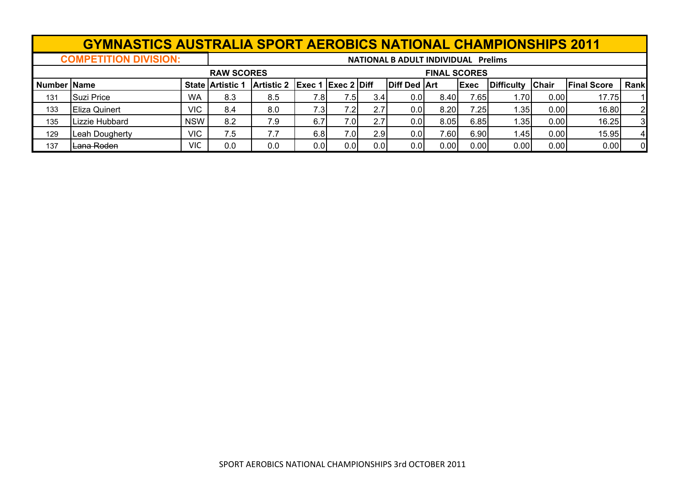## **GYMNASTICS AUSTRALIA SPORT AEROBICS NATIONAL CHAMPIONSHIPS 2011**

**COMPETITION DIVISION:**

**NATIONAL B ADULT INDIVIDUAL Prelims**

|                |                |            | <b>RAW SCORES</b>       |                               |      |                  |                  |                     | <b>FINAL SCORES</b> |             |                   |              |                    |                |
|----------------|----------------|------------|-------------------------|-------------------------------|------|------------------|------------------|---------------------|---------------------|-------------|-------------------|--------------|--------------------|----------------|
| ∣ Number IName |                |            | <b>State Artistic 1</b> | Artistic 2 Exec 1 Exec 2 Diff |      |                  |                  | <b>Diff Ded Art</b> |                     | <b>Exec</b> | <b>Difficulty</b> | <b>Chair</b> | <b>Final Score</b> | Rank           |
| 131            | Suzi Price     | <b>WA</b>  | 8.3                     | 8.5                           | 7.8  | 7.51             | 3.4 <sub>1</sub> | 0.0 <sub>1</sub>    | 8.40                | 7.65        | .701              | 0.001        | 17.75              |                |
| 133            | Eliza Quinert  | <b>VIC</b> | 8.4                     | 8.0                           | 7.3  | 7.2              | 2.7              | 0.01                | 8.20                | 7.25        | .35 <sub>1</sub>  | 0.00         | 16.80              | 2 <sub>l</sub> |
| 135            | Lizzie Hubbard | <b>NSW</b> | 8.2                     | 7.9                           | 6.7  | 7.0              | 2.7              | 0.01                | 8.05                | 6.85        | .35 <sub>l</sub>  | 0.00         | 16.25              | 3 <sub>l</sub> |
| 129            | Leah Dougherty | <b>VIC</b> | 7.5                     | 7.7                           | 6.8  | 7.0 <sub>l</sub> | 2.9              | 0.0                 | 7.60                | 6.90        | 1.45              | 0.00         | 15.95              | 41             |
| 137            | Lana Roden     | VIC        | 0.0                     | 0.0                           | 0.01 | 0.0 <sub>l</sub> | 0.0              | 0.0 <sub>1</sub>    | 0.00                | 0.00        | 0.00              | 0.00         | 0.00               | ΩI             |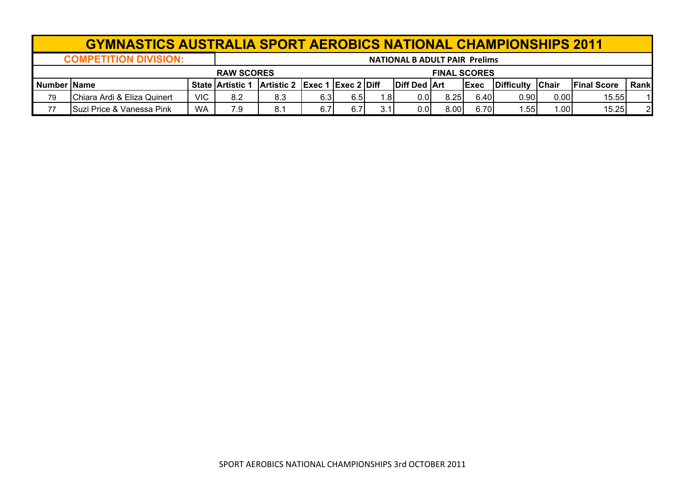|                     | <b>GYMNASTICS AUSTRALIA SPORT AEROBICS NATIONAL CHAMPIONSHIPS 2011</b> |            |                         |                               |     |     |     |              |      |      |            |              |                     |       |
|---------------------|------------------------------------------------------------------------|------------|-------------------------|-------------------------------|-----|-----|-----|--------------|------|------|------------|--------------|---------------------|-------|
|                     | <b>COMPETITION DIVISION:</b><br><b>NATIONAL B ADULT PAIR Prelims</b>   |            |                         |                               |     |     |     |              |      |      |            |              |                     |       |
|                     | <b>FINAL SCORES</b><br><b>RAW SCORES</b>                               |            |                         |                               |     |     |     |              |      |      |            |              |                     |       |
| <b>Number IName</b> |                                                                        |            | <b>State Artistic 1</b> | Artistic 2 Exec 1 Exec 2 Diff |     |     |     | Diff Ded Art |      | Exec | Difficulty | <b>Chair</b> | <b>IFinal Score</b> | Rankl |
| 79                  | Chiara Ardi & Eliza Quinert                                            | <b>VIC</b> | 8.2                     | 8.3                           | 6.3 | 6.5 | 1.8 | 0.01         | 8.25 | 6.40 | 0.90       | 0.00         | 15.55               |       |
| 77                  | Suzi Price & Vanessa Pink                                              | <b>WA</b>  | 7.9                     | 8.1                           |     |     | 3.1 | 0.01         | 8.00 | 6.70 | .55        | 1.00         | 15.25               |       |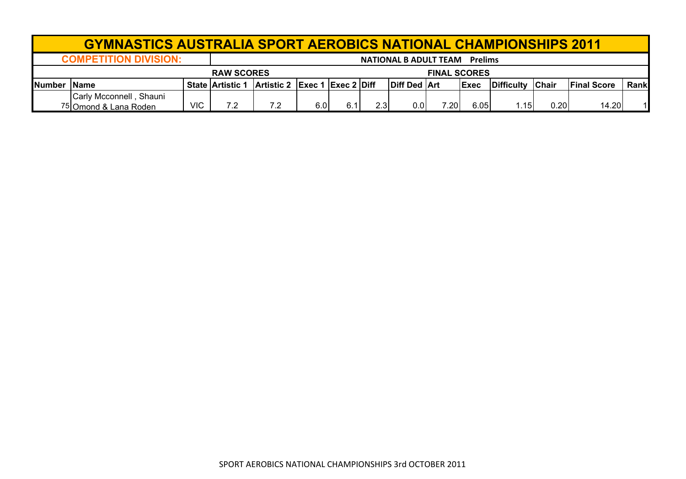|                | <b>GYMNASTICS AUSTRALIA SPORT AEROBICS NATIONAL CHAMPIONSHIPS 2011</b> |            |                         |                                                               |     |     |     |                                      |       |              |            |              |                     |             |
|----------------|------------------------------------------------------------------------|------------|-------------------------|---------------------------------------------------------------|-----|-----|-----|--------------------------------------|-------|--------------|------------|--------------|---------------------|-------------|
|                | <b>COMPETITION DIVISION:</b>                                           |            |                         |                                                               |     |     |     | <b>NATIONAL B ADULT TEAM Prelims</b> |       |              |            |              |                     |             |
|                | <b>RAW SCORES</b><br><b>FINAL SCORES</b>                               |            |                         |                                                               |     |     |     |                                      |       |              |            |              |                     |             |
| <b>INumber</b> | <b>IName</b>                                                           |            | <b>State Artistic 1</b> | $\vert$ Artistic 2 $\vert$ Exec 1 $\vert$ Exec 2 $\vert$ Diff |     |     |     | Diff Ded Art                         |       | <b>IExec</b> | Difficulty | <b>Chair</b> | <b>IFinal Score</b> | <b>Rank</b> |
|                | Carly Mcconnell, Shauni<br><sup>75</sup> Omond & Lana Roden            | <b>VIC</b> | 7.2                     | 7.2                                                           | 6.0 | 6.1 | 2.3 | 0.0                                  | 7.20I | 6.05         | 1.15I      | 0.20         | 14.20               |             |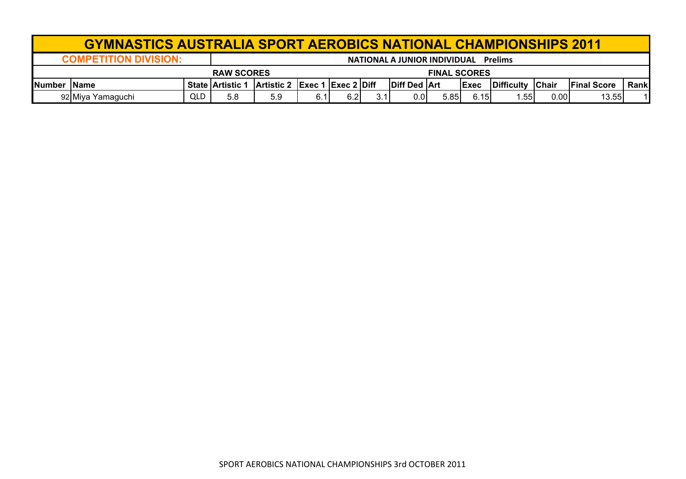|                | <b>GYMNASTICS AUSTRALIA SPORT AEROBICS NATIONAL CHAMPIONSHIPS 2011</b>         |            |                         |                               |  |     |     |                     |      |      |                    |              |                     |       |
|----------------|--------------------------------------------------------------------------------|------------|-------------------------|-------------------------------|--|-----|-----|---------------------|------|------|--------------------|--------------|---------------------|-------|
|                | <b>COMPETITION DIVISION:</b><br>NATIONAL A JUNIOR INDIVIDUAL<br><b>Prelims</b> |            |                         |                               |  |     |     |                     |      |      |                    |              |                     |       |
|                | <b>FINAL SCORES</b><br><b>RAW SCORES</b>                                       |            |                         |                               |  |     |     |                     |      |      |                    |              |                     |       |
| <b>INumber</b> | <b>IName</b>                                                                   |            | <b>State Artistic 1</b> | Artistic 2 Exec 1 Exec 2 Diff |  |     |     | <b>Diff Ded Art</b> |      | Exec | <b>IDifficulty</b> | <b>Chair</b> | <b>IFinal Score</b> | Rankl |
|                | 92 Miya Yamaguchi                                                              | <b>QLD</b> | 5.8                     | 5.9                           |  | 6.2 | 3.1 |                     | 5.85 | 6.15 | .55                | 0.00         | 13.55               | 11    |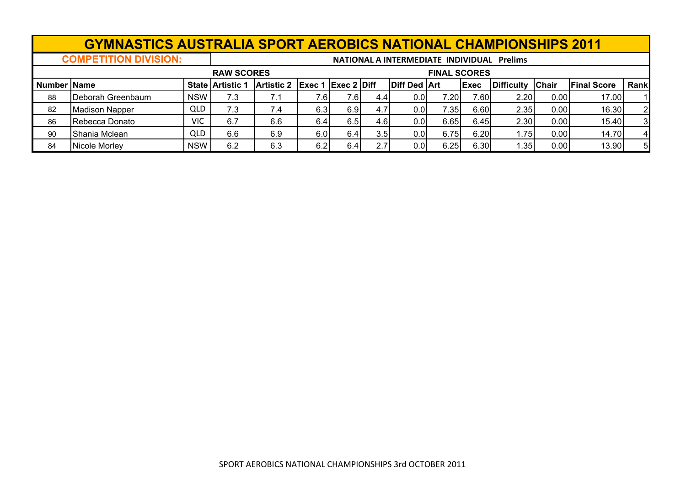|                    | <b>GYMNASTICS AUSTRALIA SPORT AEROBICS NATIONAL CHAMPIONSHIPS 2011</b> |                                            |                         |                                          |      |      |      |                     |       |              |                   |              |                    |                |  |
|--------------------|------------------------------------------------------------------------|--------------------------------------------|-------------------------|------------------------------------------|------|------|------|---------------------|-------|--------------|-------------------|--------------|--------------------|----------------|--|
|                    | <b>COMPETITION DIVISION:</b>                                           | NATIONAL A INTERMEDIATE INDIVIDUAL Prelims |                         |                                          |      |      |      |                     |       |              |                   |              |                    |                |  |
|                    |                                                                        |                                            |                         | <b>RAW SCORES</b><br><b>FINAL SCORES</b> |      |      |      |                     |       |              |                   |              |                    |                |  |
| <b>Number Name</b> |                                                                        |                                            | <b>State Artistic 1</b> | Artistic 2 Exec 1 Exec 2 Diff            |      |      |      | <b>Diff Ded Art</b> |       | <b>IExec</b> | <b>Difficulty</b> | <b>Chair</b> | <b>Final Score</b> | Rank           |  |
| 88                 | Deborah Greenbaum                                                      | <b>NSW</b>                                 | 7.3                     | 7.1                                      | 7.6I | 7.6I | 4.4  | 0.01                | 7.20I | 7.60         | 2.20              | 0.00         | 17.00              |                |  |
| 82                 | <b>Madison Napper</b>                                                  | <b>QLD</b>                                 | 7.3                     | 7.4                                      | 6.3  | 6.91 | 4.7  | 0.01                | 7.35I | 6.60         | 2.35              | 0.00         | 16.30              | 2              |  |
| 86                 | Rebecca Donato                                                         | <b>VIC</b>                                 | 6.7                     | 6.6                                      | 6.4  | 6.5  | 4.6I | 0.01                | 6.65  | 6.45         | 2.30              | 0.00         | 15.40              | 3              |  |
| 90                 | Shania Mclean                                                          | QLD                                        | 6.6                     | 6.9                                      | 6.0  | 6.4  | 3.5  | 0.01                | 6.75  | 6.20         | 1.75              | 0.00         | 14.70              | $\overline{4}$ |  |
| 84                 | Nicole Morley                                                          | <b>NSW</b>                                 | 6.2                     | 6.3                                      | 6.2  | 6.4  | 2.7  | 0.01                | 6.25  | 6.30         | 1.35              | 0.00         | 13.90              | 5              |  |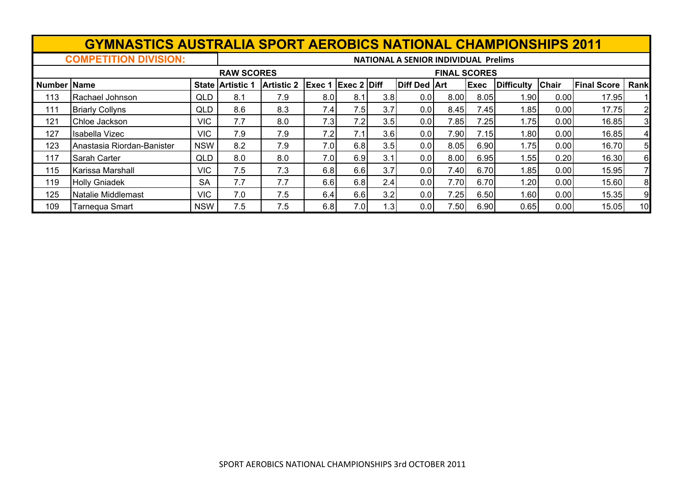|                    | <b>GYMNASTICS AUSTRALIA SPORT AEROBICS NATIONAL CHAMPIONSHIPS 2011</b> |                                             |                         |                                          |        |                    |                  |                     |      |             |            |              |                    |      |
|--------------------|------------------------------------------------------------------------|---------------------------------------------|-------------------------|------------------------------------------|--------|--------------------|------------------|---------------------|------|-------------|------------|--------------|--------------------|------|
|                    | <b>COMPETITION DIVISION:</b>                                           | <b>NATIONAL A SENIOR INDIVIDUAL Prelims</b> |                         |                                          |        |                    |                  |                     |      |             |            |              |                    |      |
|                    |                                                                        |                                             |                         | <b>RAW SCORES</b><br><b>FINAL SCORES</b> |        |                    |                  |                     |      |             |            |              |                    |      |
| <b>Number Name</b> |                                                                        |                                             | <b>State Artistic 1</b> | <b>Artistic 2</b>                        | Exec 1 | <b>Exec 2 Diff</b> |                  | <b>Diff Ded Art</b> |      | <b>Exec</b> | Difficulty | <b>Chair</b> | <b>Final Score</b> | Rank |
| 113                | Rachael Johnson                                                        | <b>QLD</b>                                  | 8.1                     | 7.9                                      | 8.0    | 8.1                | 3.8              | 0.0                 | 8.00 | 8.05        | 1.90       | 0.00         | 17.95              |      |
| 111                | <b>Briarly Collyns</b>                                                 | QLD                                         | 8.6                     | 8.3                                      | 7.4I   | 7.5                | 3.7              | 0.01                | 8.45 | 7.45        | 1.85       | 0.00         | 17.75              | 2    |
| 121                | Chloe Jackson                                                          | <b>VIC</b>                                  | 7.7                     | 8.0                                      | 7.3    | 7.2                | 3.5              | 0.01                | 7.85 | 7.25        | 1.75       | 0.00         | 16.85              | 3    |
| 127                | Isabella Vizec                                                         | <b>VIC</b>                                  | 7.9                     | 7.9                                      | 7.2    | 7.1                | 3.6              | 0.01                | 7.90 | 7.15        | 1.801      | 0.00         | 16.85              | 4    |
| 123                | Anastasia Riordan-Banister                                             | <b>NSW</b>                                  | 8.2                     | 7.9                                      | 7.0    | 6.8                | 3.5              | 0.01                | 8.05 | 6.90        | 1.751      | 0.00         | 16.70              | 5    |
| 117                | Sarah Carter                                                           | <b>QLD</b>                                  | 8.0                     | 8.0                                      | 7.0    | 6.9                | 3.1              | 0.01                | 8.00 | 6.95        | 1.55       | 0.20         | 16.30              | 6    |
| 115                | Karissa Marshall                                                       | <b>VIC</b>                                  | 7.5                     | 7.3                                      | 6.8    | 6.6                | 3.7              | 0.0                 | 7.40 | 6.70        | 1.85       | 0.00         | 15.95              |      |
| 119                | <b>Holly Gniadek</b>                                                   | <b>SA</b>                                   | 7.7                     | 7.7                                      | 6.6    | 6.8                | 2.4              | 0.01                | 7.70 | 6.70        | ا20. ا     | 0.00         | 15.60              | 8    |
| 125                | Natalie Middlemast                                                     | <b>VIC</b>                                  | 7.0                     | 7.5                                      | 6.4    | 6.6                | 3.2              | 0.0                 | 7.25 | 6.50        | .60        | 0.00         | 15.35              | 9    |
| 109                | Tarnequa Smart                                                         | <b>NSW</b>                                  | 7.5                     | 7.5                                      | 6.8    | 7.0                | 1.3 <sub>1</sub> | 0.01                | 7.50 | 6.90        | 0.65       | 0.00         | 15.05              | 10   |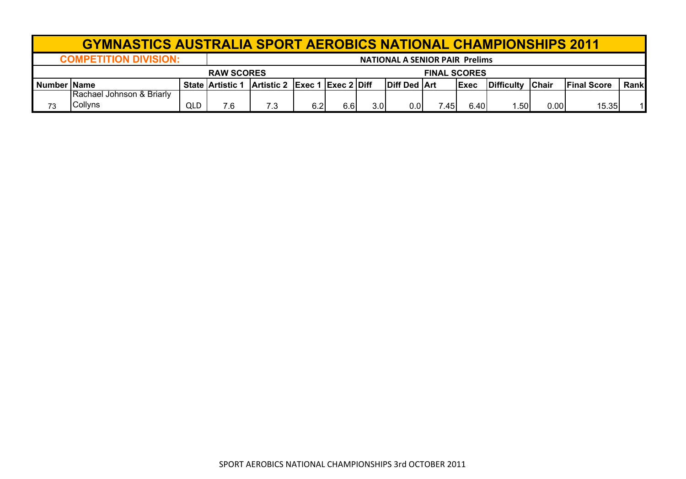| <b>GYMNASTICS AUSTRALIA SPORT AEROBICS NATIONAL CHAMPIONSHIPS 2011</b> |                                      |                                       |                         |                               |     |     |                     |                |       |              |                    |              |                    |       |  |
|------------------------------------------------------------------------|--------------------------------------|---------------------------------------|-------------------------|-------------------------------|-----|-----|---------------------|----------------|-------|--------------|--------------------|--------------|--------------------|-------|--|
|                                                                        | <b>COMPETITION DIVISION:</b>         | <b>NATIONAL A SENIOR PAIR Prelims</b> |                         |                               |     |     |                     |                |       |              |                    |              |                    |       |  |
| <b>RAW SCORES</b>                                                      |                                      |                                       |                         |                               |     |     | <b>FINAL SCORES</b> |                |       |              |                    |              |                    |       |  |
| <b>Number IName</b>                                                    |                                      |                                       | <b>State Artistic 1</b> | Artistic 2 Exec 1 Exec 2 Diff |     |     |                     | Diff Ded   Art |       | <b>IExec</b> | <b>IDifficulty</b> | <b>Chair</b> | <b>Final Score</b> | Rankl |  |
| 73                                                                     | Rachael Johnson & Briarly<br>Collyns | QLD                                   | 7.6                     | 7.3                           | 6.2 | 6.6 | 3.0                 | 0.01           | 7.45. | 6.40         | .501               | 0.00         | 15.35              |       |  |